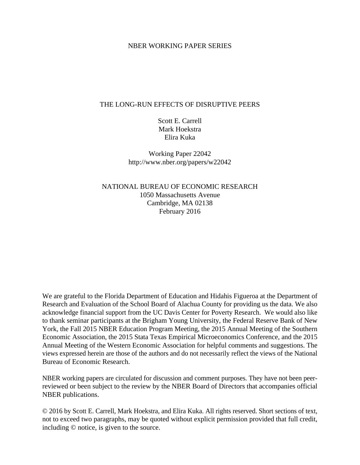### NBER WORKING PAPER SERIES

### THE LONG-RUN EFFECTS OF DISRUPTIVE PEERS

Scott E. Carrell Mark Hoekstra Elira Kuka

Working Paper 22042 http://www.nber.org/papers/w22042

NATIONAL BUREAU OF ECONOMIC RESEARCH 1050 Massachusetts Avenue Cambridge, MA 02138 February 2016

We are grateful to the Florida Department of Education and Hidahis Figueroa at the Department of Research and Evaluation of the School Board of Alachua County for providing us the data. We also acknowledge financial support from the UC Davis Center for Poverty Research. We would also like to thank seminar participants at the Brigham Young University, the Federal Reserve Bank of New York, the Fall 2015 NBER Education Program Meeting, the 2015 Annual Meeting of the Southern Economic Association, the 2015 Stata Texas Empirical Microeconomics Conference, and the 2015 Annual Meeting of the Western Economic Association for helpful comments and suggestions. The views expressed herein are those of the authors and do not necessarily reflect the views of the National Bureau of Economic Research.

NBER working papers are circulated for discussion and comment purposes. They have not been peerreviewed or been subject to the review by the NBER Board of Directors that accompanies official NBER publications.

© 2016 by Scott E. Carrell, Mark Hoekstra, and Elira Kuka. All rights reserved. Short sections of text, not to exceed two paragraphs, may be quoted without explicit permission provided that full credit, including © notice, is given to the source.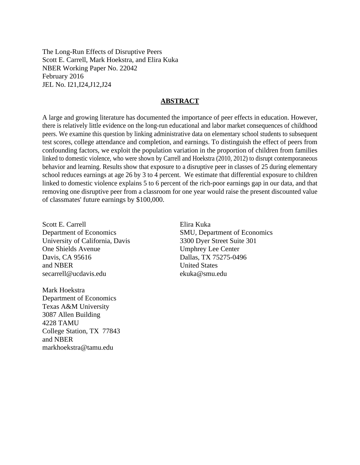The Long-Run Effects of Disruptive Peers Scott E. Carrell, Mark Hoekstra, and Elira Kuka NBER Working Paper No. 22042 February 2016 JEL No. I21,I24,J12,J24

#### **ABSTRACT**

A large and growing literature has documented the importance of peer effects in education. However, there is relatively little evidence on the long-run educational and labor market consequences of childhood peers. We examine this question by linking administrative data on elementary school students to subsequent test scores, college attendance and completion, and earnings. To distinguish the effect of peers from confounding factors, we exploit the population variation in the proportion of children from families linked to domestic violence, who were shown by Carrell and Hoekstra (2010, 2012) to disrupt contemporaneous behavior and learning. Results show that exposure to a disruptive peer in classes of 25 during elementary school reduces earnings at age 26 by 3 to 4 percent. We estimate that differential exposure to children linked to domestic violence explains 5 to 6 percent of the rich-poor earnings gap in our data, and that removing one disruptive peer from a classroom for one year would raise the present discounted value of classmates' future earnings by \$100,000.

Scott E. Carrell Department of Economics University of California, Davis One Shields Avenue Davis, CA 95616 and NBER secarrell@ucdavis.edu

Mark Hoekstra Department of Economics Texas A&M University 3087 Allen Building 4228 TAMU College Station, TX 77843 and NBER markhoekstra@tamu.edu

Elira Kuka SMU, Department of Economics 3300 Dyer Street Suite 301 Umphrey Lee Center Dallas, TX 75275-0496 United States ekuka@smu.edu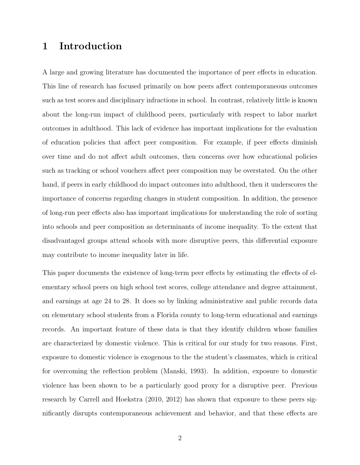# 1 Introduction

A large and growing literature has documented the importance of peer effects in education. This line of research has focused primarily on how peers affect contemporaneous outcomes such as test scores and disciplinary infractions in school. In contrast, relatively little is known about the long-run impact of childhood peers, particularly with respect to labor market outcomes in adulthood. This lack of evidence has important implications for the evaluation of education policies that affect peer composition. For example, if peer effects diminish over time and do not affect adult outcomes, then concerns over how educational policies such as tracking or school vouchers affect peer composition may be overstated. On the other hand, if peers in early childhood do impact outcomes into adulthood, then it underscores the importance of concerns regarding changes in student composition. In addition, the presence of long-run peer effects also has important implications for understanding the role of sorting into schools and peer composition as determinants of income inequality. To the extent that disadvantaged groups attend schools with more disruptive peers, this differential exposure may contribute to income inequality later in life.

This paper documents the existence of long-term peer effects by estimating the effects of elementary school peers on high school test scores, college attendance and degree attainment, and earnings at age 24 to 28. It does so by linking administrative and public records data on elementary school students from a Florida county to long-term educational and earnings records. An important feature of these data is that they identify children whose families are characterized by domestic violence. This is critical for our study for two reasons. First, exposure to domestic violence is exogenous to the the student's classmates, which is critical for overcoming the reflection problem (Manski, 1993). In addition, exposure to domestic violence has been shown to be a particularly good proxy for a disruptive peer. Previous research by Carrell and Hoekstra (2010, 2012) has shown that exposure to these peers significantly disrupts contemporaneous achievement and behavior, and that these effects are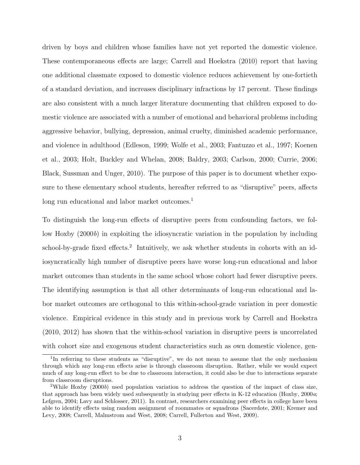driven by boys and children whose families have not yet reported the domestic violence. These contemporaneous effects are large; Carrell and Hoekstra (2010) report that having one additional classmate exposed to domestic violence reduces achievement by one-fortieth of a standard deviation, and increases disciplinary infractions by 17 percent. These findings are also consistent with a much larger literature documenting that children exposed to domestic violence are associated with a number of emotional and behavioral problems including aggressive behavior, bullying, depression, animal cruelty, diminished academic performance, and violence in adulthood (Edleson, 1999; Wolfe et al., 2003; Fantuzzo et al., 1997; Koenen et al., 2003; Holt, Buckley and Whelan, 2008; Baldry, 2003; Carlson, 2000; Currie, 2006; Black, Sussman and Unger, 2010). The purpose of this paper is to document whether exposure to these elementary school students, hereafter referred to as "disruptive" peers, affects long run educational and labor market outcomes.<sup>1</sup>

To distinguish the long-run effects of disruptive peers from confounding factors, we follow Hoxby (2000b) in exploiting the idiosyncratic variation in the population by including school-by-grade fixed effects.<sup>2</sup> Intuitively, we ask whether students in cohorts with an idiosyncratically high number of disruptive peers have worse long-run educational and labor market outcomes than students in the same school whose cohort had fewer disruptive peers. The identifying assumption is that all other determinants of long-run educational and labor market outcomes are orthogonal to this within-school-grade variation in peer domestic violence. Empirical evidence in this study and in previous work by Carrell and Hoekstra (2010, 2012) has shown that the within-school variation in disruptive peers is uncorrelated with cohort size and exogenous student characteristics such as own domestic violence, gen-

<sup>&</sup>lt;sup>1</sup>In referring to these students as "disruptive", we do not mean to assume that the only mechanism through which any long-run effects arise is through classroom disruption. Rather, while we would expect much of any long-run effect to be due to classroom interaction, it could also be due to interactions separate from classroom disruptions.

<sup>&</sup>lt;sup>2</sup>While Hoxby (2000b) used population variation to address the question of the impact of class size, that approach has been widely used subsequently in studying peer effects in K-12 education (Hoxby, 2000a; Lefgren, 2004; Lavy and Schlosser, 2011). In contrast, researchers examining peer effects in college have been able to identify effects using random assignment of roommates or squadrons (Sacerdote, 2001; Kremer and Levy, 2008; Carrell, Malmstrom and West, 2008; Carrell, Fullerton and West, 2009).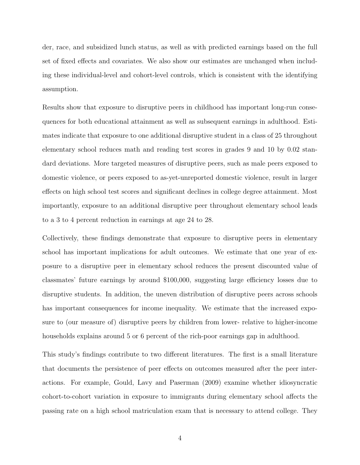der, race, and subsidized lunch status, as well as with predicted earnings based on the full set of fixed effects and covariates. We also show our estimates are unchanged when including these individual-level and cohort-level controls, which is consistent with the identifying assumption.

Results show that exposure to disruptive peers in childhood has important long-run consequences for both educational attainment as well as subsequent earnings in adulthood. Estimates indicate that exposure to one additional disruptive student in a class of 25 throughout elementary school reduces math and reading test scores in grades 9 and 10 by 0.02 standard deviations. More targeted measures of disruptive peers, such as male peers exposed to domestic violence, or peers exposed to as-yet-unreported domestic violence, result in larger effects on high school test scores and significant declines in college degree attainment. Most importantly, exposure to an additional disruptive peer throughout elementary school leads to a 3 to 4 percent reduction in earnings at age 24 to 28.

Collectively, these findings demonstrate that exposure to disruptive peers in elementary school has important implications for adult outcomes. We estimate that one year of exposure to a disruptive peer in elementary school reduces the present discounted value of classmates' future earnings by around \$100,000, suggesting large efficiency losses due to disruptive students. In addition, the uneven distribution of disruptive peers across schools has important consequences for income inequality. We estimate that the increased exposure to (our measure of) disruptive peers by children from lower- relative to higher-income households explains around 5 or 6 percent of the rich-poor earnings gap in adulthood.

This study's findings contribute to two different literatures. The first is a small literature that documents the persistence of peer effects on outcomes measured after the peer interactions. For example, Gould, Lavy and Paserman (2009) examine whether idiosyncratic cohort-to-cohort variation in exposure to immigrants during elementary school affects the passing rate on a high school matriculation exam that is necessary to attend college. They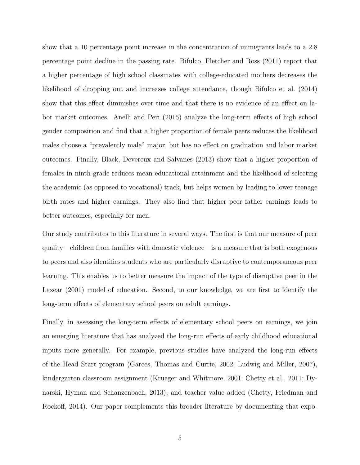show that a 10 percentage point increase in the concentration of immigrants leads to a 2.8 percentage point decline in the passing rate. Bifulco, Fletcher and Ross (2011) report that a higher percentage of high school classmates with college-educated mothers decreases the likelihood of dropping out and increases college attendance, though Bifulco et al. (2014) show that this effect diminishes over time and that there is no evidence of an effect on labor market outcomes. Anelli and Peri (2015) analyze the long-term effects of high school gender composition and find that a higher proportion of female peers reduces the likelihood males choose a "prevalently male" major, but has no effect on graduation and labor market outcomes. Finally, Black, Devereux and Salvanes (2013) show that a higher proportion of females in ninth grade reduces mean educational attainment and the likelihood of selecting the academic (as opposed to vocational) track, but helps women by leading to lower teenage birth rates and higher earnings. They also find that higher peer father earnings leads to better outcomes, especially for men.

Our study contributes to this literature in several ways. The first is that our measure of peer quality—children from families with domestic violence—is a measure that is both exogenous to peers and also identifies students who are particularly disruptive to contemporaneous peer learning. This enables us to better measure the impact of the type of disruptive peer in the Lazear (2001) model of education. Second, to our knowledge, we are first to identify the long-term effects of elementary school peers on adult earnings.

Finally, in assessing the long-term effects of elementary school peers on earnings, we join an emerging literature that has analyzed the long-run effects of early childhood educational inputs more generally. For example, previous studies have analyzed the long-run effects of the Head Start program (Garces, Thomas and Currie, 2002; Ludwig and Miller, 2007), kindergarten classroom assignment (Krueger and Whitmore, 2001; Chetty et al., 2011; Dynarski, Hyman and Schanzenbach, 2013), and teacher value added (Chetty, Friedman and Rockoff, 2014). Our paper complements this broader literature by documenting that expo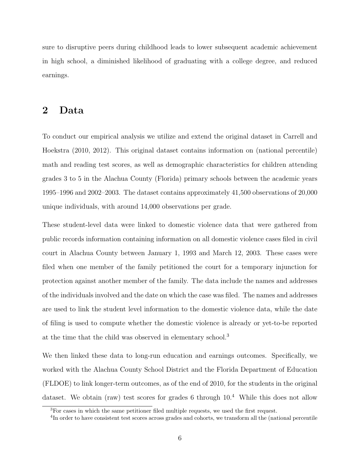sure to disruptive peers during childhood leads to lower subsequent academic achievement in high school, a diminished likelihood of graduating with a college degree, and reduced earnings.

### 2 Data

To conduct our empirical analysis we utilize and extend the original dataset in Carrell and Hoekstra (2010, 2012). This original dataset contains information on (national percentile) math and reading test scores, as well as demographic characteristics for children attending grades 3 to 5 in the Alachua County (Florida) primary schools between the academic years 1995–1996 and 2002–2003. The dataset contains approximately 41,500 observations of 20,000 unique individuals, with around 14,000 observations per grade.

These student-level data were linked to domestic violence data that were gathered from public records information containing information on all domestic violence cases filed in civil court in Alachua County between January 1, 1993 and March 12, 2003. These cases were filed when one member of the family petitioned the court for a temporary injunction for protection against another member of the family. The data include the names and addresses of the individuals involved and the date on which the case was filed. The names and addresses are used to link the student level information to the domestic violence data, while the date of filing is used to compute whether the domestic violence is already or yet-to-be reported at the time that the child was observed in elementary school.<sup>3</sup>

We then linked these data to long-run education and earnings outcomes. Specifically, we worked with the Alachua County School District and the Florida Department of Education (FLDOE) to link longer-term outcomes, as of the end of 2010, for the students in the original dataset. We obtain (raw) test scores for grades 6 through  $10<sup>4</sup>$  While this does not allow

<sup>3</sup>For cases in which the same petitioner filed multiple requests, we used the first request.

<sup>&</sup>lt;sup>4</sup>In order to have consistent test scores across grades and cohorts, we transform all the (national percentile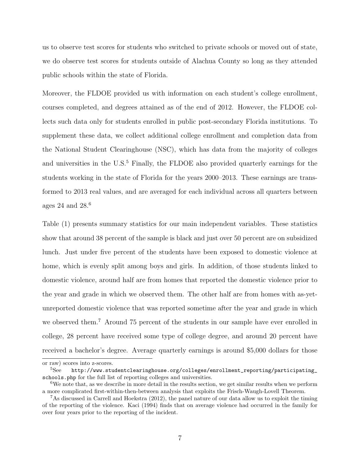us to observe test scores for students who switched to private schools or moved out of state, we do observe test scores for students outside of Alachua County so long as they attended public schools within the state of Florida.

Moreover, the FLDOE provided us with information on each student's college enrollment, courses completed, and degrees attained as of the end of 2012. However, the FLDOE collects such data only for students enrolled in public post-secondary Florida institutions. To supplement these data, we collect additional college enrollment and completion data from the National Student Clearinghouse (NSC), which has data from the majority of colleges and universities in the U.S.<sup>5</sup> Finally, the FLDOE also provided quarterly earnings for the students working in the state of Florida for the years 2000–2013. These earnings are transformed to 2013 real values, and are averaged for each individual across all quarters between ages 24 and  $28<sup>6</sup>$ 

Table (1) presents summary statistics for our main independent variables. These statistics show that around 38 percent of the sample is black and just over 50 percent are on subsidized lunch. Just under five percent of the students have been exposed to domestic violence at home, which is evenly split among boys and girls. In addition, of those students linked to domestic violence, around half are from homes that reported the domestic violence prior to the year and grade in which we observed them. The other half are from homes with as-yetunreported domestic violence that was reported sometime after the year and grade in which we observed them.<sup>7</sup> Around 75 percent of the students in our sample have ever enrolled in college, 28 percent have received some type of college degree, and around 20 percent have received a bachelor's degree. Average quarterly earnings is around \$5,000 dollars for those

or raw) scores into z-scores.

 $5$ See http://www.studentclearinghouse.org/colleges/enrollment\_reporting/participating\_ schools.php for the full list of reporting colleges and universities.

<sup>&</sup>lt;sup>6</sup>We note that, as we describe in more detail in the results section, we get similar results when we perform a more complicated first-within-then-between analysis that exploits the Frisch-Waugh-Lovell Theorem.

<sup>7</sup>As discussed in Carrell and Hoekstra (2012), the panel nature of our data allow us to exploit the timing of the reporting of the violence. Kaci (1994) finds that on average violence had occurred in the family for over four years prior to the reporting of the incident.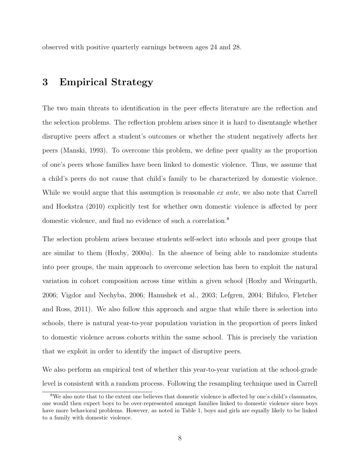observed with positive quarterly earnings between ages 24 and 28.

# 3 Empirical Strategy

The two main threats to identification in the peer effects literature are the reflection and the selection problems. The reflection problem arises since it is hard to disentangle whether disruptive peers affect a student's outcomes or whether the student negatively affects her peers (Manski, 1993). To overcome this problem, we define peer quality as the proportion of one's peers whose families have been linked to domestic violence. Thus, we assume that a child's peers do not cause that child's family to be characterized by domestic violence. While we would argue that this assumption is reasonable *ex ante*, we also note that Carrell and Hoekstra (2010) explicitly test for whether own domestic violence is affected by peer domestic violence, and find no evidence of such a correlation.<sup>8</sup>

The selection problem arises because students self-select into schools and peer groups that are similar to them  $(Hoxby, 2000a)$ . In the absence of being able to randomize students into peer groups, the main approach to overcome selection has been to exploit the natural variation in cohort composition across time within a given school (Hoxby and Weingarth, 2006; Vigdor and Nechyba, 2006; Hanushek et al., 2003; Lefgren, 2004; Bifulco, Fletcher and Ross, 2011). We also follow this approach and argue that while there is selection into schools, there is natural year-to-year population variation in the proportion of peers linked to domestic violence across cohorts within the same school. This is precisely the variation that we exploit in order to identify the impact of disruptive peers.

We also perform an empirical test of whether this year-to-year variation at the school-grade level is consistent with a random process. Following the resampling technique used in Carrell

<sup>8</sup>We also note that to the extent one believes that domestic violence is affected by one's child's classmates, one would then expect boys to be over-represented amongst families linked to domestic violence since boys have more behavioral problems. However, as noted in Table 1, boys and girls are equally likely to be linked to a family with domestic violence.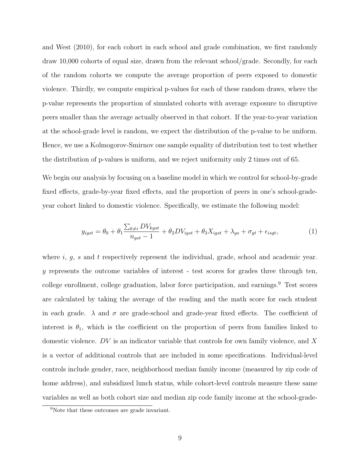and West (2010), for each cohort in each school and grade combination, we first randomly draw 10,000 cohorts of equal size, drawn from the relevant school/grade. Secondly, for each of the random cohorts we compute the average proportion of peers exposed to domestic violence. Thirdly, we compute empirical p-values for each of these random draws, where the p-value represents the proportion of simulated cohorts with average exposure to disruptive peers smaller than the average actually observed in that cohort. If the year-to-year variation at the school-grade level is random, we expect the distribution of the p-value to be uniform. Hence, we use a Kolmogorov-Smirnov one sample equality of distribution test to test whether the distribution of p-values is uniform, and we reject uniformity only 2 times out of 65.

We begin our analysis by focusing on a baseline model in which we control for school-by-grade fixed effects, grade-by-year fixed effects, and the proportion of peers in one's school-gradeyear cohort linked to domestic violence. Specifically, we estimate the following model:

$$
y_{igst} = \theta_0 + \theta_1 \frac{\sum_{k \neq i} DV_{kgst}}{n_{gst} - 1} + \theta_2 DV_{igst} + \theta_3 X_{igst} + \lambda_{gs} + \sigma_{gt} + \epsilon_{isgt},\tag{1}
$$

where  $i, g, s$  and  $t$  respectively represent the individual, grade, school and academic year. y represents the outcome variables of interest - test scores for grades three through ten, college enrollment, college graduation, labor force participation, and earnings.<sup>9</sup> Test scores are calculated by taking the average of the reading and the math score for each student in each grade.  $\lambda$  and  $\sigma$  are grade-school and grade-year fixed effects. The coefficient of interest is  $\theta_1$ , which is the coefficient on the proportion of peers from families linked to domestic violence. DV is an indicator variable that controls for own family violence, and X is a vector of additional controls that are included in some specifications. Individual-level controls include gender, race, neighborhood median family income (measured by zip code of home address), and subsidized lunch status, while cohort-level controls measure these same variables as well as both cohort size and median zip code family income at the school-grade-

<sup>9</sup>Note that these outcomes are grade invariant.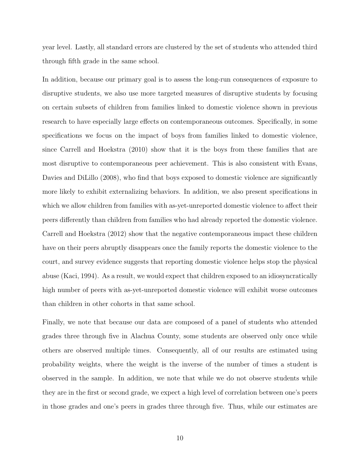year level. Lastly, all standard errors are clustered by the set of students who attended third through fifth grade in the same school.

In addition, because our primary goal is to assess the long-run consequences of exposure to disruptive students, we also use more targeted measures of disruptive students by focusing on certain subsets of children from families linked to domestic violence shown in previous research to have especially large effects on contemporaneous outcomes. Specifically, in some specifications we focus on the impact of boys from families linked to domestic violence, since Carrell and Hoekstra (2010) show that it is the boys from these families that are most disruptive to contemporaneous peer achievement. This is also consistent with Evans, Davies and DiLillo (2008), who find that boys exposed to domestic violence are significantly more likely to exhibit externalizing behaviors. In addition, we also present specifications in which we allow children from families with as-yet-unreported domestic violence to affect their peers differently than children from families who had already reported the domestic violence. Carrell and Hoekstra (2012) show that the negative contemporaneous impact these children have on their peers abruptly disappears once the family reports the domestic violence to the court, and survey evidence suggests that reporting domestic violence helps stop the physical abuse (Kaci, 1994). As a result, we would expect that children exposed to an idiosyncratically high number of peers with as-yet-unreported domestic violence will exhibit worse outcomes than children in other cohorts in that same school.

Finally, we note that because our data are composed of a panel of students who attended grades three through five in Alachua County, some students are observed only once while others are observed multiple times. Consequently, all of our results are estimated using probability weights, where the weight is the inverse of the number of times a student is observed in the sample. In addition, we note that while we do not observe students while they are in the first or second grade, we expect a high level of correlation between one's peers in those grades and one's peers in grades three through five. Thus, while our estimates are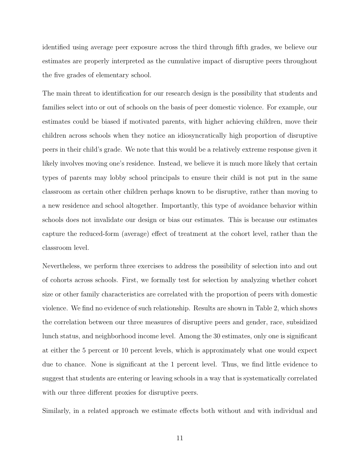identified using average peer exposure across the third through fifth grades, we believe our estimates are properly interpreted as the cumulative impact of disruptive peers throughout the five grades of elementary school.

The main threat to identification for our research design is the possibility that students and families select into or out of schools on the basis of peer domestic violence. For example, our estimates could be biased if motivated parents, with higher achieving children, move their children across schools when they notice an idiosyncratically high proportion of disruptive peers in their child's grade. We note that this would be a relatively extreme response given it likely involves moving one's residence. Instead, we believe it is much more likely that certain types of parents may lobby school principals to ensure their child is not put in the same classroom as certain other children perhaps known to be disruptive, rather than moving to a new residence and school altogether. Importantly, this type of avoidance behavior within schools does not invalidate our design or bias our estimates. This is because our estimates capture the reduced-form (average) effect of treatment at the cohort level, rather than the classroom level.

Nevertheless, we perform three exercises to address the possibility of selection into and out of cohorts across schools. First, we formally test for selection by analyzing whether cohort size or other family characteristics are correlated with the proportion of peers with domestic violence. We find no evidence of such relationship. Results are shown in Table 2, which shows the correlation between our three measures of disruptive peers and gender, race, subsidized lunch status, and neighborhood income level. Among the 30 estimates, only one is significant at either the 5 percent or 10 percent levels, which is approximately what one would expect due to chance. None is significant at the 1 percent level. Thus, we find little evidence to suggest that students are entering or leaving schools in a way that is systematically correlated with our three different proxies for disruptive peers.

Similarly, in a related approach we estimate effects both without and with individual and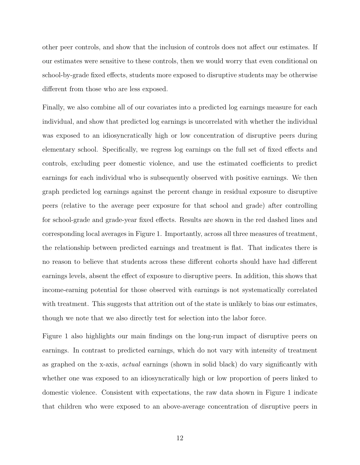other peer controls, and show that the inclusion of controls does not affect our estimates. If our estimates were sensitive to these controls, then we would worry that even conditional on school-by-grade fixed effects, students more exposed to disruptive students may be otherwise different from those who are less exposed.

Finally, we also combine all of our covariates into a predicted log earnings measure for each individual, and show that predicted log earnings is uncorrelated with whether the individual was exposed to an idiosyncratically high or low concentration of disruptive peers during elementary school. Specifically, we regress log earnings on the full set of fixed effects and controls, excluding peer domestic violence, and use the estimated coefficients to predict earnings for each individual who is subsequently observed with positive earnings. We then graph predicted log earnings against the percent change in residual exposure to disruptive peers (relative to the average peer exposure for that school and grade) after controlling for school-grade and grade-year fixed effects. Results are shown in the red dashed lines and corresponding local averages in Figure 1. Importantly, across all three measures of treatment, the relationship between predicted earnings and treatment is flat. That indicates there is no reason to believe that students across these different cohorts should have had different earnings levels, absent the effect of exposure to disruptive peers. In addition, this shows that income-earning potential for those observed with earnings is not systematically correlated with treatment. This suggests that attrition out of the state is unlikely to bias our estimates, though we note that we also directly test for selection into the labor force.

Figure 1 also highlights our main findings on the long-run impact of disruptive peers on earnings. In contrast to predicted earnings, which do not vary with intensity of treatment as graphed on the x-axis, actual earnings (shown in solid black) do vary significantly with whether one was exposed to an idiosyncratically high or low proportion of peers linked to domestic violence. Consistent with expectations, the raw data shown in Figure 1 indicate that children who were exposed to an above-average concentration of disruptive peers in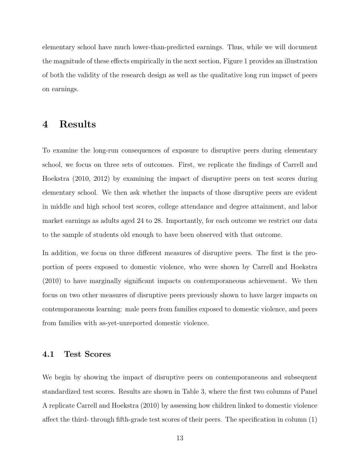elementary school have much lower-than-predicted earnings. Thus, while we will document the magnitude of these effects empirically in the next section, Figure 1 provides an illustration of both the validity of the research design as well as the qualitative long run impact of peers on earnings.

# 4 Results

To examine the long-run consequences of exposure to disruptive peers during elementary school, we focus on three sets of outcomes. First, we replicate the findings of Carrell and Hoekstra (2010, 2012) by examining the impact of disruptive peers on test scores during elementary school. We then ask whether the impacts of those disruptive peers are evident in middle and high school test scores, college attendance and degree attainment, and labor market earnings as adults aged 24 to 28. Importantly, for each outcome we restrict our data to the sample of students old enough to have been observed with that outcome.

In addition, we focus on three different measures of disruptive peers. The first is the proportion of peers exposed to domestic violence, who were shown by Carrell and Hoekstra (2010) to have marginally significant impacts on contemporaneous achievement. We then focus on two other measures of disruptive peers previously shown to have larger impacts on contemporaneous learning: male peers from families exposed to domestic violence, and peers from families with as-yet-unreported domestic violence.

### 4.1 Test Scores

We begin by showing the impact of disruptive peers on contemporaneous and subsequent standardized test scores. Results are shown in Table 3, where the first two columns of Panel A replicate Carrell and Hoekstra (2010) by assessing how children linked to domestic violence affect the third- through fifth-grade test scores of their peers. The specification in column (1)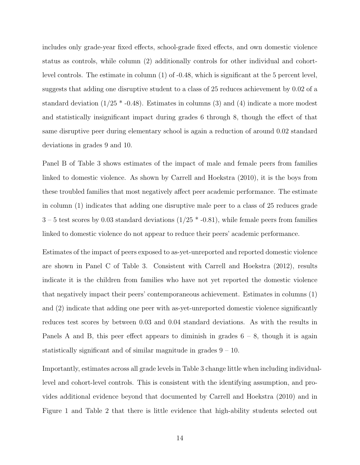includes only grade-year fixed effects, school-grade fixed effects, and own domestic violence status as controls, while column (2) additionally controls for other individual and cohortlevel controls. The estimate in column (1) of -0.48, which is significant at the 5 percent level, suggests that adding one disruptive student to a class of 25 reduces achievement by 0.02 of a standard deviation  $(1/25 * -0.48)$ . Estimates in columns (3) and (4) indicate a more modest and statistically insignificant impact during grades 6 through 8, though the effect of that same disruptive peer during elementary school is again a reduction of around 0.02 standard deviations in grades 9 and 10.

Panel B of Table 3 shows estimates of the impact of male and female peers from families linked to domestic violence. As shown by Carrell and Hoekstra (2010), it is the boys from these troubled families that most negatively affect peer academic performance. The estimate in column (1) indicates that adding one disruptive male peer to a class of 25 reduces grade  $3 - 5$  test scores by 0.03 standard deviations  $(1/25 * -0.81)$ , while female peers from families linked to domestic violence do not appear to reduce their peers' academic performance.

Estimates of the impact of peers exposed to as-yet-unreported and reported domestic violence are shown in Panel C of Table 3. Consistent with Carrell and Hoekstra (2012), results indicate it is the children from families who have not yet reported the domestic violence that negatively impact their peers' contemporaneous achievement. Estimates in columns (1) and (2) indicate that adding one peer with as-yet-unreported domestic violence significantly reduces test scores by between 0.03 and 0.04 standard deviations. As with the results in Panels A and B, this peer effect appears to diminish in grades  $6 - 8$ , though it is again statistically significant and of similar magnitude in grades 9 – 10.

Importantly, estimates across all grade levels in Table 3 change little when including individuallevel and cohort-level controls. This is consistent with the identifying assumption, and provides additional evidence beyond that documented by Carrell and Hoekstra (2010) and in Figure 1 and Table 2 that there is little evidence that high-ability students selected out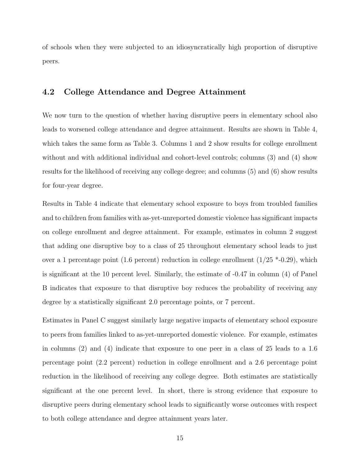of schools when they were subjected to an idiosyncratically high proportion of disruptive peers.

### 4.2 College Attendance and Degree Attainment

We now turn to the question of whether having disruptive peers in elementary school also leads to worsened college attendance and degree attainment. Results are shown in Table 4, which takes the same form as Table 3. Columns 1 and 2 show results for college enrollment without and with additional individual and cohort-level controls; columns (3) and (4) show results for the likelihood of receiving any college degree; and columns (5) and (6) show results for four-year degree.

Results in Table 4 indicate that elementary school exposure to boys from troubled families and to children from families with as-yet-unreported domestic violence has significant impacts on college enrollment and degree attainment. For example, estimates in column 2 suggest that adding one disruptive boy to a class of 25 throughout elementary school leads to just over a 1 percentage point (1.6 percent) reduction in college enrollment ( $1/25$  \*-0.29), which is significant at the 10 percent level. Similarly, the estimate of -0.47 in column (4) of Panel B indicates that exposure to that disruptive boy reduces the probability of receiving any degree by a statistically significant 2.0 percentage points, or 7 percent.

Estimates in Panel C suggest similarly large negative impacts of elementary school exposure to peers from families linked to as-yet-unreported domestic violence. For example, estimates in columns (2) and (4) indicate that exposure to one peer in a class of 25 leads to a 1.6 percentage point (2.2 percent) reduction in college enrollment and a 2.6 percentage point reduction in the likelihood of receiving any college degree. Both estimates are statistically significant at the one percent level. In short, there is strong evidence that exposure to disruptive peers during elementary school leads to significantly worse outcomes with respect to both college attendance and degree attainment years later.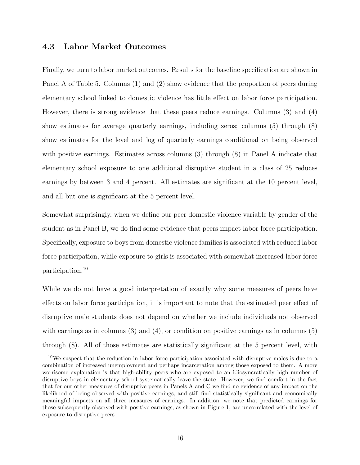### 4.3 Labor Market Outcomes

Finally, we turn to labor market outcomes. Results for the baseline specification are shown in Panel A of Table 5. Columns (1) and (2) show evidence that the proportion of peers during elementary school linked to domestic violence has little effect on labor force participation. However, there is strong evidence that these peers reduce earnings. Columns (3) and (4) show estimates for average quarterly earnings, including zeros; columns (5) through (8) show estimates for the level and log of quarterly earnings conditional on being observed with positive earnings. Estimates across columns (3) through (8) in Panel A indicate that elementary school exposure to one additional disruptive student in a class of 25 reduces earnings by between 3 and 4 percent. All estimates are significant at the 10 percent level, and all but one is significant at the 5 percent level.

Somewhat surprisingly, when we define our peer domestic violence variable by gender of the student as in Panel B, we do find some evidence that peers impact labor force participation. Specifically, exposure to boys from domestic violence families is associated with reduced labor force participation, while exposure to girls is associated with somewhat increased labor force participation.<sup>10</sup>

While we do not have a good interpretation of exactly why some measures of peers have effects on labor force participation, it is important to note that the estimated peer effect of disruptive male students does not depend on whether we include individuals not observed with earnings as in columns  $(3)$  and  $(4)$ , or condition on positive earnings as in columns  $(5)$ through (8). All of those estimates are statistically significant at the 5 percent level, with

<sup>10</sup>We suspect that the reduction in labor force participation associated with disruptive males is due to a combination of increased unemployment and perhaps incarceration among those exposed to them. A more worrisome explanation is that high-ability peers who are exposed to an idiosyncratically high number of disruptive boys in elementary school systematically leave the state. However, we find comfort in the fact that for our other measures of disruptive peers in Panels A and C we find no evidence of any impact on the likelihood of being observed with positive earnings, and still find statistically significant and economically meaningful impacts on all three measures of earnings. In addition, we note that predicted earnings for those subsequently observed with positive earnings, as shown in Figure 1, are uncorrelated with the level of exposure to disruptive peers.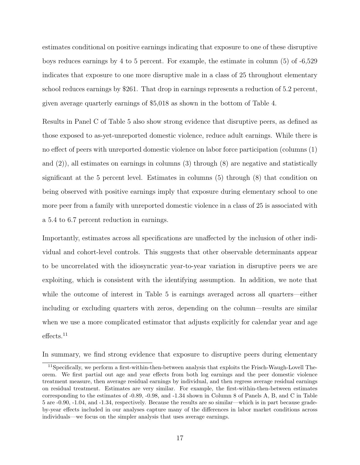estimates conditional on positive earnings indicating that exposure to one of these disruptive boys reduces earnings by 4 to 5 percent. For example, the estimate in column (5) of -6,529 indicates that exposure to one more disruptive male in a class of 25 throughout elementary school reduces earnings by \$261. That drop in earnings represents a reduction of 5.2 percent, given average quarterly earnings of \$5,018 as shown in the bottom of Table 4.

Results in Panel C of Table 5 also show strong evidence that disruptive peers, as defined as those exposed to as-yet-unreported domestic violence, reduce adult earnings. While there is no effect of peers with unreported domestic violence on labor force participation (columns (1) and  $(2)$ , all estimates on earnings in columns  $(3)$  through  $(8)$  are negative and statistically significant at the 5 percent level. Estimates in columns (5) through (8) that condition on being observed with positive earnings imply that exposure during elementary school to one more peer from a family with unreported domestic violence in a class of 25 is associated with a 5.4 to 6.7 percent reduction in earnings.

Importantly, estimates across all specifications are unaffected by the inclusion of other individual and cohort-level controls. This suggests that other observable determinants appear to be uncorrelated with the idiosyncratic year-to-year variation in disruptive peers we are exploiting, which is consistent with the identifying assumption. In addition, we note that while the outcome of interest in Table 5 is earnings averaged across all quarters—either including or excluding quarters with zeros, depending on the column—results are similar when we use a more complicated estimator that adjusts explicitly for calendar year and age effects.<sup>11</sup>

In summary, we find strong evidence that exposure to disruptive peers during elementary

<sup>&</sup>lt;sup>11</sup>Specifically, we perform a first-within-then-between analysis that exploits the Frisch-Waugh-Lovell Theorem. We first partial out age and year effects from both log earnings and the peer domestic violence treatment measure, then average residual earnings by individual, and then regress average residual earnings on residual treatment. Estimates are very similar. For example, the first-within-then-between estimates corresponding to the estimates of -0.89, -0.98, and -1.34 shown in Column 8 of Panels A, B, and C in Table 5 are -0.90, -1.04, and -1.34, respectively. Because the results are so similar—which is in part because gradeby-year effects included in our analyses capture many of the differences in labor market conditions across individuals—we focus on the simpler analysis that uses average earnings.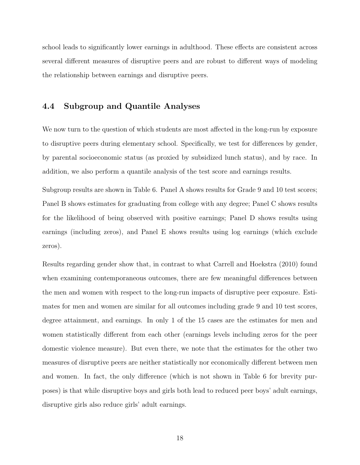school leads to significantly lower earnings in adulthood. These effects are consistent across several different measures of disruptive peers and are robust to different ways of modeling the relationship between earnings and disruptive peers.

### 4.4 Subgroup and Quantile Analyses

We now turn to the question of which students are most affected in the long-run by exposure to disruptive peers during elementary school. Specifically, we test for differences by gender, by parental socioeconomic status (as proxied by subsidized lunch status), and by race. In addition, we also perform a quantile analysis of the test score and earnings results.

Subgroup results are shown in Table 6. Panel A shows results for Grade 9 and 10 test scores; Panel B shows estimates for graduating from college with any degree; Panel C shows results for the likelihood of being observed with positive earnings; Panel D shows results using earnings (including zeros), and Panel E shows results using log earnings (which exclude zeros).

Results regarding gender show that, in contrast to what Carrell and Hoekstra (2010) found when examining contemporaneous outcomes, there are few meaningful differences between the men and women with respect to the long-run impacts of disruptive peer exposure. Estimates for men and women are similar for all outcomes including grade 9 and 10 test scores, degree attainment, and earnings. In only 1 of the 15 cases are the estimates for men and women statistically different from each other (earnings levels including zeros for the peer domestic violence measure). But even there, we note that the estimates for the other two measures of disruptive peers are neither statistically nor economically different between men and women. In fact, the only difference (which is not shown in Table 6 for brevity purposes) is that while disruptive boys and girls both lead to reduced peer boys' adult earnings, disruptive girls also reduce girls' adult earnings.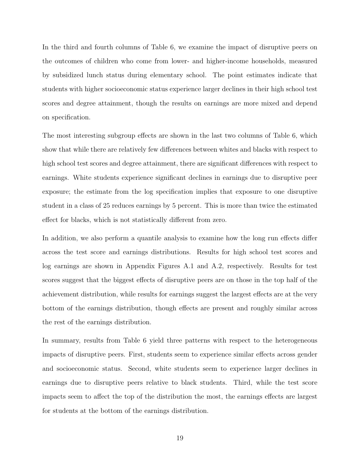In the third and fourth columns of Table 6, we examine the impact of disruptive peers on the outcomes of children who come from lower- and higher-income households, measured by subsidized lunch status during elementary school. The point estimates indicate that students with higher socioeconomic status experience larger declines in their high school test scores and degree attainment, though the results on earnings are more mixed and depend on specification.

The most interesting subgroup effects are shown in the last two columns of Table 6, which show that while there are relatively few differences between whites and blacks with respect to high school test scores and degree attainment, there are significant differences with respect to earnings. White students experience significant declines in earnings due to disruptive peer exposure; the estimate from the log specification implies that exposure to one disruptive student in a class of 25 reduces earnings by 5 percent. This is more than twice the estimated effect for blacks, which is not statistically different from zero.

In addition, we also perform a quantile analysis to examine how the long run effects differ across the test score and earnings distributions. Results for high school test scores and log earnings are shown in Appendix Figures A.1 and A.2, respectively. Results for test scores suggest that the biggest effects of disruptive peers are on those in the top half of the achievement distribution, while results for earnings suggest the largest effects are at the very bottom of the earnings distribution, though effects are present and roughly similar across the rest of the earnings distribution.

In summary, results from Table 6 yield three patterns with respect to the heterogeneous impacts of disruptive peers. First, students seem to experience similar effects across gender and socioeconomic status. Second, white students seem to experience larger declines in earnings due to disruptive peers relative to black students. Third, while the test score impacts seem to affect the top of the distribution the most, the earnings effects are largest for students at the bottom of the earnings distribution.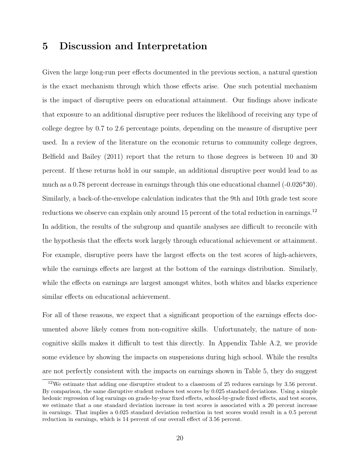### 5 Discussion and Interpretation

Given the large long-run peer effects documented in the previous section, a natural question is the exact mechanism through which those effects arise. One such potential mechanism is the impact of disruptive peers on educational attainment. Our findings above indicate that exposure to an additional disruptive peer reduces the likelihood of receiving any type of college degree by 0.7 to 2.6 percentage points, depending on the measure of disruptive peer used. In a review of the literature on the economic returns to community college degrees, Belfield and Bailey (2011) report that the return to those degrees is between 10 and 30 percent. If these returns hold in our sample, an additional disruptive peer would lead to as much as a 0.78 percent decrease in earnings through this one educational channel (-0.026\*30). Similarly, a back-of-the-envelope calculation indicates that the 9th and 10th grade test score reductions we observe can explain only around 15 percent of the total reduction in earnings.<sup>12</sup> In addition, the results of the subgroup and quantile analyses are difficult to reconcile with the hypothesis that the effects work largely through educational achievement or attainment. For example, disruptive peers have the largest effects on the test scores of high-achievers, while the earnings effects are largest at the bottom of the earnings distribution. Similarly, while the effects on earnings are largest amongst whites, both whites and blacks experience similar effects on educational achievement.

For all of these reasons, we expect that a significant proportion of the earnings effects documented above likely comes from non-cognitive skills. Unfortunately, the nature of noncognitive skills makes it difficult to test this directly. In Appendix Table A.2, we provide some evidence by showing the impacts on suspensions during high school. While the results are not perfectly consistent with the impacts on earnings shown in Table 5, they do suggest

 $12\%$  estimate that adding one disruptive student to a classroom of 25 reduces earnings by 3.56 percent. By comparison, the same disruptive student reduces test scores by 0.025 standard deviations. Using a simple hedonic regression of log earnings on grade-by-year fixed effects, school-by-grade fixed effects, and test scores, we estimate that a one standard deviation increase in test scores is associated with a 20 percent increase in earnings. That implies a 0.025 standard deviation reduction in test scores would result in a 0.5 percent reduction in earnings, which is 14 percent of our overall effect of 3.56 percent.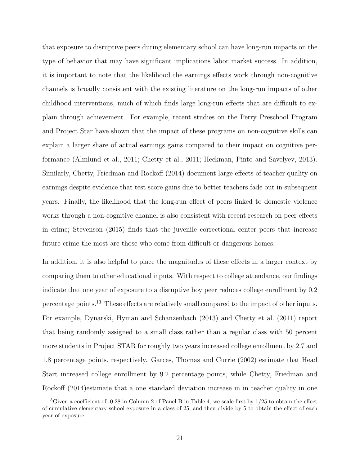that exposure to disruptive peers during elementary school can have long-run impacts on the type of behavior that may have significant implications labor market success. In addition, it is important to note that the likelihood the earnings effects work through non-cognitive channels is broadly consistent with the existing literature on the long-run impacts of other childhood interventions, much of which finds large long-run effects that are difficult to explain through achievement. For example, recent studies on the Perry Preschool Program and Project Star have shown that the impact of these programs on non-cognitive skills can explain a larger share of actual earnings gains compared to their impact on cognitive performance (Almlund et al., 2011; Chetty et al., 2011; Heckman, Pinto and Savelyev, 2013). Similarly, Chetty, Friedman and Rockoff (2014) document large effects of teacher quality on earnings despite evidence that test score gains due to better teachers fade out in subsequent years. Finally, the likelihood that the long-run effect of peers linked to domestic violence works through a non-cognitive channel is also consistent with recent research on peer effects in crime; Stevenson (2015) finds that the juvenile correctional center peers that increase future crime the most are those who come from difficult or dangerous homes.

In addition, it is also helpful to place the magnitudes of these effects in a larger context by comparing them to other educational inputs. With respect to college attendance, our findings indicate that one year of exposure to a disruptive boy peer reduces college enrollment by 0.2 percentage points.<sup>13</sup> These effects are relatively small compared to the impact of other inputs. For example, Dynarski, Hyman and Schanzenbach (2013) and Chetty et al. (2011) report that being randomly assigned to a small class rather than a regular class with 50 percent more students in Project STAR for roughly two years increased college enrollment by 2.7 and 1.8 percentage points, respectively. Garces, Thomas and Currie (2002) estimate that Head Start increased college enrollment by 9.2 percentage points, while Chetty, Friedman and Rockoff (2014)estimate that a one standard deviation increase in in teacher quality in one

<sup>&</sup>lt;sup>13</sup>Given a coefficient of -0.28 in Column 2 of Panel B in Table 4, we scale first by  $1/25$  to obtain the effect of cumulative elementary school exposure in a class of 25, and then divide by 5 to obtain the effect of each year of exposure.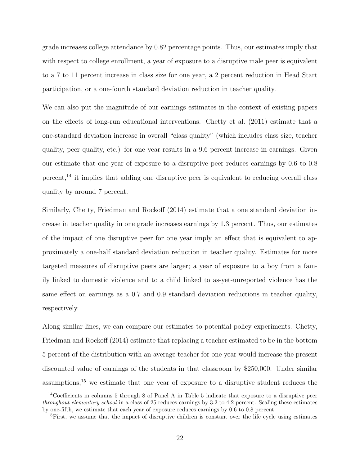grade increases college attendance by 0.82 percentage points. Thus, our estimates imply that with respect to college enrollment, a year of exposure to a disruptive male peer is equivalent to a 7 to 11 percent increase in class size for one year, a 2 percent reduction in Head Start participation, or a one-fourth standard deviation reduction in teacher quality.

We can also put the magnitude of our earnings estimates in the context of existing papers on the effects of long-run educational interventions. Chetty et al. (2011) estimate that a one-standard deviation increase in overall "class quality" (which includes class size, teacher quality, peer quality, etc.) for one year results in a 9.6 percent increase in earnings. Given our estimate that one year of exposure to a disruptive peer reduces earnings by 0.6 to 0.8 percent,<sup>14</sup> it implies that adding one disruptive peer is equivalent to reducing overall class quality by around 7 percent.

Similarly, Chetty, Friedman and Rockoff (2014) estimate that a one standard deviation increase in teacher quality in one grade increases earnings by 1.3 percent. Thus, our estimates of the impact of one disruptive peer for one year imply an effect that is equivalent to approximately a one-half standard deviation reduction in teacher quality. Estimates for more targeted measures of disruptive peers are larger; a year of exposure to a boy from a family linked to domestic violence and to a child linked to as-yet-unreported violence has the same effect on earnings as a 0.7 and 0.9 standard deviation reductions in teacher quality, respectively.

Along similar lines, we can compare our estimates to potential policy experiments. Chetty, Friedman and Rockoff (2014) estimate that replacing a teacher estimated to be in the bottom 5 percent of the distribution with an average teacher for one year would increase the present discounted value of earnings of the students in that classroom by \$250,000. Under similar assumptions,<sup>15</sup> we estimate that one year of exposure to a disruptive student reduces the

<sup>14</sup>Coefficients in columns 5 through 8 of Panel A in Table 5 indicate that exposure to a disruptive peer throughout elementary school in a class of 25 reduces earnings by 3.2 to 4.2 percent. Scaling these estimates by one-fifth, we estimate that each year of exposure reduces earnings by 0.6 to 0.8 percent.

<sup>&</sup>lt;sup>15</sup>First, we assume that the impact of disruptive children is constant over the life cycle using estimates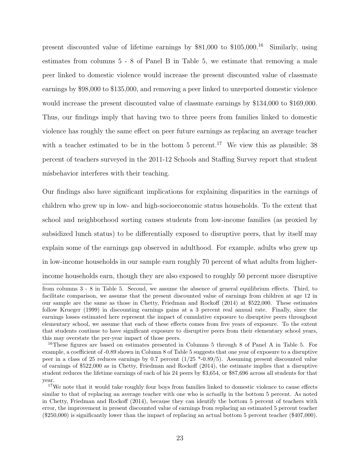present discounted value of lifetime earnings by \$81,000 to \$105,000.<sup>16</sup> Similarly, using estimates from columns 5 - 8 of Panel B in Table 5, we estimate that removing a male peer linked to domestic violence would increase the present discounted value of classmate earnings by \$98,000 to \$135,000, and removing a peer linked to unreported domestic violence would increase the present discounted value of classmate earnings by \$134,000 to \$169,000. Thus, our findings imply that having two to three peers from families linked to domestic violence has roughly the same effect on peer future earnings as replacing an average teacher with a teacher estimated to be in the bottom  $5$  percent.<sup>17</sup> We view this as plausible; 38 percent of teachers surveyed in the 2011-12 Schools and Staffing Survey report that student misbehavior interferes with their teaching.

Our findings also have significant implications for explaining disparities in the earnings of children who grew up in low- and high-socioeconomic status households. To the extent that school and neighborhood sorting causes students from low-income families (as proxied by subsidized lunch status) to be differentially exposed to disruptive peers, that by itself may explain some of the earnings gap observed in adulthood. For example, adults who grew up in low-income households in our sample earn roughly 70 percent of what adults from higherincome households earn, though they are also exposed to roughly 50 percent more disruptive

from columns 3 - 8 in Table 5. Second, we assume the absence of general equilibrium effects. Third, to facilitate comparison, we assume that the present discounted value of earnings from children at age 12 in our sample are the same as those in Chetty, Friedman and Rockoff (2014) at \$522,000. These estimates follow Krueger (1999) in discounting earnings gains at a 3 percent real annual rate. Finally, since the earnings losses estimated here represent the impact of cumulative exposure to disruptive peers throughout elementary school, we assume that each of these effects comes from five years of exposure. To the extent that students continue to have significant exposure to disruptive peers from their elementary school years, this may overstate the per-year impact of those peers.

<sup>&</sup>lt;sup>16</sup>These figures are based on estimates presented in Columns 5 through 8 of Panel A in Table 5. For example, a coefficient of -0.89 shown in Column 8 of Table 5 suggests that one year of exposure to a disruptive peer in a class of 25 reduces earnings by 0.7 percent (1/25 \*-0.89/5). Assuming present discounted value of earnings of \$522,000 as in Chetty, Friedman and Rockoff (2014), the estimate implies that a disruptive student reduces the lifetime earnings of each of his 24 peers by \$3,654, or \$87,696 across all students for that year.

<sup>&</sup>lt;sup>17</sup>We note that it would take roughly four boys from families linked to domestic violence to cause effects similar to that of replacing an average teacher with one who is *actually* in the bottom 5 percent. As noted in Chetty, Friedman and Rockoff (2014), because they can identify the bottom 5 percent of teachers with error, the improvement in present discounted value of earnings from replacing an estimated 5 percent teacher (\$250,000) is significantly lower than the impact of replacing an actual bottom 5 percent teacher (\$407,000).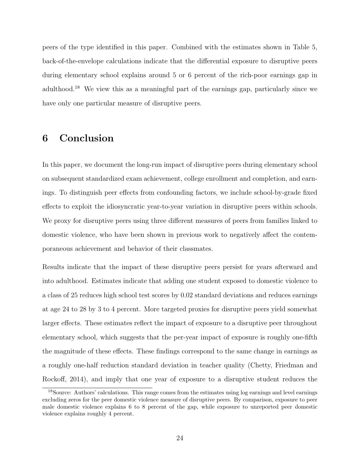peers of the type identified in this paper. Combined with the estimates shown in Table 5, back-of-the-envelope calculations indicate that the differential exposure to disruptive peers during elementary school explains around 5 or 6 percent of the rich-poor earnings gap in adulthood.<sup>18</sup> We view this as a meaningful part of the earnings gap, particularly since we have only one particular measure of disruptive peers.

# 6 Conclusion

In this paper, we document the long-run impact of disruptive peers during elementary school on subsequent standardized exam achievement, college enrollment and completion, and earnings. To distinguish peer effects from confounding factors, we include school-by-grade fixed effects to exploit the idiosyncratic year-to-year variation in disruptive peers within schools. We proxy for disruptive peers using three different measures of peers from families linked to domestic violence, who have been shown in previous work to negatively affect the contemporaneous achievement and behavior of their classmates.

Results indicate that the impact of these disruptive peers persist for years afterward and into adulthood. Estimates indicate that adding one student exposed to domestic violence to a class of 25 reduces high school test scores by 0.02 standard deviations and reduces earnings at age 24 to 28 by 3 to 4 percent. More targeted proxies for disruptive peers yield somewhat larger effects. These estimates reflect the impact of exposure to a disruptive peer throughout elementary school, which suggests that the per-year impact of exposure is roughly one-fifth the magnitude of these effects. These findings correspond to the same change in earnings as a roughly one-half reduction standard deviation in teacher quality (Chetty, Friedman and Rockoff, 2014), and imply that one year of exposure to a disruptive student reduces the

<sup>18</sup>Source: Authors' calculations. This range comes from the estimates using log earnings and level earnings excluding zeros for the peer domestic violence measure of disruptive peers. By comparison, exposure to peer male domestic violence explains 6 to 8 percent of the gap, while exposure to unreported peer domestic violence explains roughly 4 percent.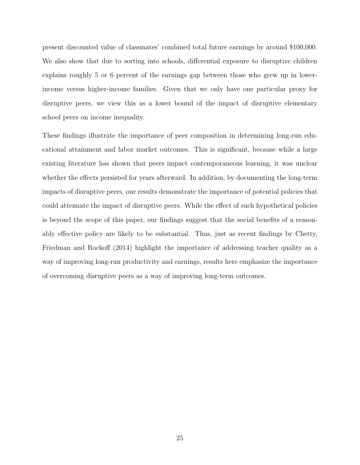present discounted value of classmates' combined total future earnings by around \$100,000. We also show that due to sorting into schools, differential exposure to disruptive children explains roughly 5 or 6 percent of the earnings gap between those who grew up in lowerincome versus higher-income families. Given that we only have one particular proxy for disruptive peers, we view this as a lower bound of the impact of disruptive elementary school peers on income inequality.

These findings illustrate the importance of peer composition in determining long-run educational attainment and labor market outcomes. This is significant, because while a large existing literature has shown that peers impact contemporaneous learning, it was unclear whether the effects persisted for years afterward. In addition, by documenting the long-term impacts of disruptive peers, our results demonstrate the importance of potential policies that could attenuate the impact of disruptive peers. While the effect of such hypothetical policies is beyond the scope of this paper, our findings suggest that the social benefits of a reasonably effective policy are likely to be substantial. Thus, just as recent findings by Chetty, Friedman and Rockoff (2014) highlight the importance of addressing teacher quality as a way of improving long-run productivity and earnings, results here emphasize the importance of overcoming disruptive peers as a way of improving long-term outcomes.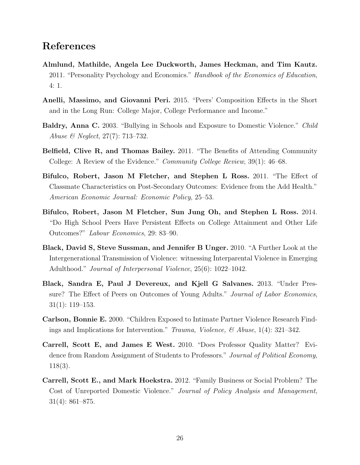# References

- Almlund, Mathilde, Angela Lee Duckworth, James Heckman, and Tim Kautz. 2011. "Personality Psychology and Economics." Handbook of the Economics of Education, 4: 1.
- Anelli, Massimo, and Giovanni Peri. 2015. "Peers' Composition Effects in the Short and in the Long Run: College Major, College Performance and Income."
- Baldry, Anna C. 2003. "Bullying in Schools and Exposure to Domestic Violence." Child Abuse & Neglect, 27(7): 713–732.
- Belfield, Clive R, and Thomas Bailey. 2011. "The Benefits of Attending Community College: A Review of the Evidence." Community College Review, 39(1): 46–68.
- Bifulco, Robert, Jason M Fletcher, and Stephen L Ross. 2011. "The Effect of Classmate Characteristics on Post-Secondary Outcomes: Evidence from the Add Health." American Economic Journal: Economic Policy, 25–53.
- Bifulco, Robert, Jason M Fletcher, Sun Jung Oh, and Stephen L Ross. 2014. "Do High School Peers Have Persistent Effects on College Attainment and Other Life Outcomes?" Labour Economics, 29: 83–90.
- Black, David S, Steve Sussman, and Jennifer B Unger. 2010. "A Further Look at the Intergenerational Transmission of Violence: witnessing Interparental Violence in Emerging Adulthood." Journal of Interpersonal Violence, 25(6): 1022–1042.
- Black, Sandra E, Paul J Devereux, and Kjell G Salvanes. 2013. "Under Pressure? The Effect of Peers on Outcomes of Young Adults." *Journal of Labor Economics*, 31(1): 119–153.
- Carlson, Bonnie E. 2000. "Children Exposed to Intimate Partner Violence Research Findings and Implications for Intervention." Trauma, Violence,  $\mathcal{C}$  Abuse, 1(4): 321–342.
- Carrell, Scott E, and James E West. 2010. "Does Professor Quality Matter? Evidence from Random Assignment of Students to Professors." Journal of Political Economy, 118(3).
- Carrell, Scott E., and Mark Hoekstra. 2012. "Family Business or Social Problem? The Cost of Unreported Domestic Violence." Journal of Policy Analysis and Management, 31(4): 861–875.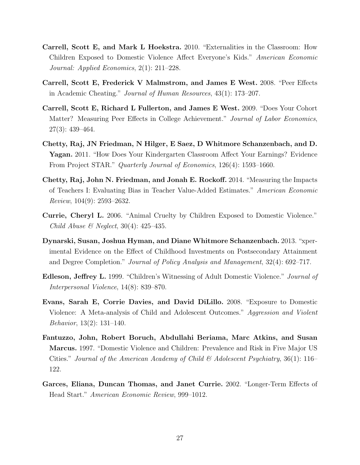- Carrell, Scott E, and Mark L Hoekstra. 2010. "Externalities in the Classroom: How Children Exposed to Domestic Violence Affect Everyone's Kids." American Economic Journal: Applied Economics, 2(1): 211–228.
- Carrell, Scott E, Frederick V Malmstrom, and James E West. 2008. "Peer Effects in Academic Cheating." Journal of Human Resources, 43(1): 173–207.
- Carrell, Scott E, Richard L Fullerton, and James E West. 2009. "Does Your Cohort Matter? Measuring Peer Effects in College Achievement." Journal of Labor Economics, 27(3): 439–464.
- Chetty, Raj, JN Friedman, N Hilger, E Saez, D Whitmore Schanzenbach, and D. Yagan. 2011. "How Does Your Kindergarten Classroom Affect Your Earnings? Evidence From Project STAR." Quarterly Journal of Economics, 126(4): 1593–1660.
- Chetty, Raj, John N. Friedman, and Jonah E. Rockoff. 2014. "Measuring the Impacts of Teachers I: Evaluating Bias in Teacher Value-Added Estimates." American Economic Review, 104(9): 2593–2632.
- Currie, Cheryl L. 2006. "Animal Cruelty by Children Exposed to Domestic Violence." Child Abuse & Neglect,  $30(4)$ :  $425-435$ .
- Dynarski, Susan, Joshua Hyman, and Diane Whitmore Schanzenbach. 2013. "xperimental Evidence on the Effect of Childhood Investments on Postsecondary Attainment and Degree Completion." Journal of Policy Analysis and Management, 32(4): 692–717.
- **Edleson, Jeffrey L.** 1999. "Children's Witnessing of Adult Domestic Violence." *Journal of* Interpersonal Violence, 14(8): 839–870.
- Evans, Sarah E, Corrie Davies, and David DiLillo. 2008. "Exposure to Domestic Violence: A Meta-analysis of Child and Adolescent Outcomes." Aggression and Violent Behavior, 13(2): 131–140.
- Fantuzzo, John, Robert Boruch, Abdullahi Beriama, Marc Atkins, and Susan Marcus. 1997. "Domestic Violence and Children: Prevalence and Risk in Five Major US Cities." Journal of the American Academy of Child  $\mathscr B$  Adolescent Psychiatry, 36(1): 116– 122.
- Garces, Eliana, Duncan Thomas, and Janet Currie. 2002. "Longer-Term Effects of Head Start." American Economic Review, 999–1012.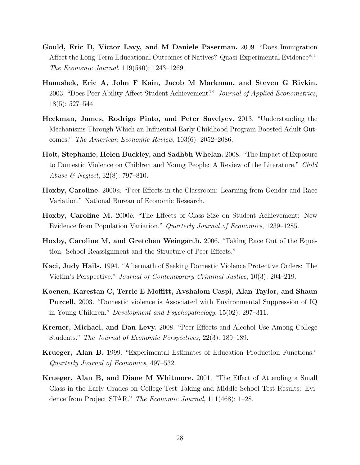- Gould, Eric D, Victor Lavy, and M Daniele Paserman. 2009. "Does Immigration Affect the Long-Term Educational Outcomes of Natives? Quasi-Experimental Evidence\*." The Economic Journal, 119(540): 1243–1269.
- Hanushek, Eric A, John F Kain, Jacob M Markman, and Steven G Rivkin. 2003. "Does Peer Ability Affect Student Achievement?" Journal of Applied Econometrics, 18(5): 527–544.
- Heckman, James, Rodrigo Pinto, and Peter Savelyev. 2013. "Understanding the Mechanisms Through Which an Influential Early Childhood Program Boosted Adult Outcomes." The American Economic Review, 103(6): 2052–2086.
- Holt, Stephanie, Helen Buckley, and Sadhbh Whelan. 2008. "The Impact of Exposure to Domestic Violence on Children and Young People: A Review of the Literature." Child Abuse & Neglect, 32(8): 797–810.
- Hoxby, Caroline. 2000a. "Peer Effects in the Classroom: Learning from Gender and Race Variation." National Bureau of Economic Research.
- Hoxby, Caroline M. 2000b. "The Effects of Class Size on Student Achievement: New Evidence from Population Variation." Quarterly Journal of Economics, 1239–1285.
- Hoxby, Caroline M, and Gretchen Weingarth. 2006. "Taking Race Out of the Equation: School Reassignment and the Structure of Peer Effects."
- Kaci, Judy Hails. 1994. "Aftermath of Seeking Domestic Violence Protective Orders: The Victim's Perspective." Journal of Contemporary Criminal Justice, 10(3): 204–219.
- Koenen, Karestan C, Terrie E Moffitt, Avshalom Caspi, Alan Taylor, and Shaun Purcell. 2003. "Domestic violence is Associated with Environmental Suppression of IQ in Young Children." Development and Psychopathology, 15(02): 297–311.
- Kremer, Michael, and Dan Levy. 2008. "Peer Effects and Alcohol Use Among College Students." The Journal of Economic Perspectives, 22(3): 189–189.
- Krueger, Alan B. 1999. "Experimental Estimates of Education Production Functions." Quarterly Journal of Economics, 497–532.
- Krueger, Alan B, and Diane M Whitmore. 2001. "The Effect of Attending a Small Class in the Early Grades on College-Test Taking and Middle School Test Results: Evidence from Project STAR." The Economic Journal, 111(468): 1–28.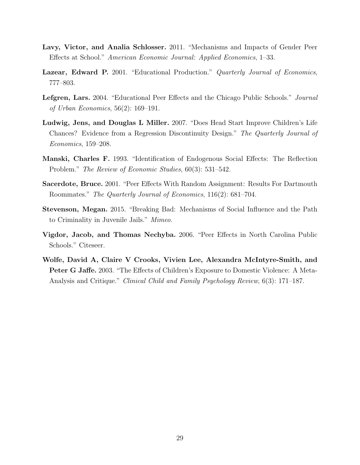- Lavy, Victor, and Analia Schlosser. 2011. "Mechanisms and Impacts of Gender Peer Effects at School." American Economic Journal: Applied Economics, 1–33.
- Lazear, Edward P. 2001. "Educational Production." Quarterly Journal of Economics, 777–803.
- Lefgren, Lars. 2004. "Educational Peer Effects and the Chicago Public Schools." Journal of Urban Economics, 56(2): 169–191.
- Ludwig, Jens, and Douglas L Miller. 2007. "Does Head Start Improve Children's Life Chances? Evidence from a Regression Discontinuity Design." The Quarterly Journal of Economics, 159–208.
- Manski, Charles F. 1993. "Identification of Endogenous Social Effects: The Reflection Problem." The Review of Economic Studies, 60(3): 531–542.
- Sacerdote, Bruce. 2001. "Peer Effects With Random Assignment: Results For Dartmouth Roommates." The Quarterly Journal of Economics, 116(2): 681–704.
- Stevenson, Megan. 2015. "Breaking Bad: Mechanisms of Social Influence and the Path to Criminality in Juvenile Jails." Mimeo.
- Vigdor, Jacob, and Thomas Nechyba. 2006. "Peer Effects in North Carolina Public Schools." Citeseer.
- Wolfe, David A, Claire V Crooks, Vivien Lee, Alexandra McIntyre-Smith, and Peter G Jaffe. 2003. "The Effects of Children's Exposure to Domestic Violence: A Meta-Analysis and Critique." Clinical Child and Family Psychology Review, 6(3): 171–187.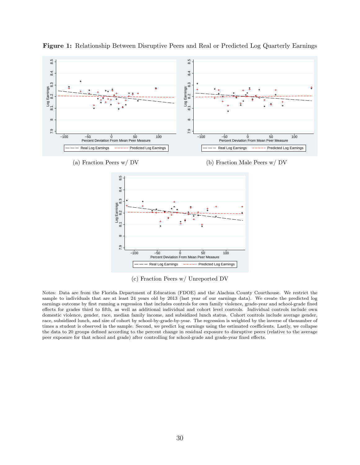

Figure 1: Relationship Between Disruptive Peers and Real or Predicted Log Quarterly Earnings

(c) Fraction Peers w/ Unreported DV

Notes: Data are from the Florida Department of Education (FDOE) and the Alachua County Courthouse. We restrict the sample to individuals that are at least 24 years old by 2013 (last year of our earnings data). We create the predicted log earnings outcome by first running a regression that includes controls for own family violence, grade-year and school-grade fixed effects for grades third to fifth, as well as additional individual and cohort level controls. Individual controls include own domestic violence, gender, race, median family income, and subsidized lunch status. Cohort controls include average gender, race, subsidized lunch, and size of cohort by school-by-grade-by-year. The regression is weighted by the inverse of thenumber of times a student is observed in the sample. Second, we predict log earnings using the estimated coefficients. Lastly, we collapse the data to 20 groups defined according to the percent change in residual exposure to disruptive peers (relative to the average peer exposure for that school and grade) after controlling for school-grade and grade-year fixed effects.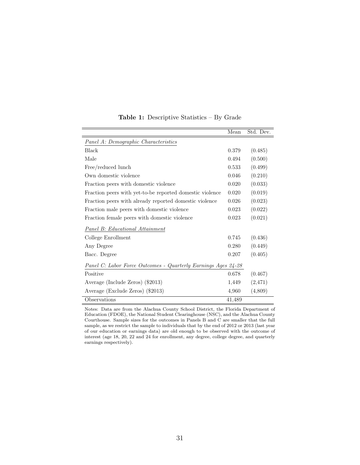|                                                               | Mean   | Std. Dev. |
|---------------------------------------------------------------|--------|-----------|
| Panel A: Demographic Characteristics                          |        |           |
| <b>Black</b>                                                  | 0.379  | (0.485)   |
| Male                                                          | 0.494  | (0.500)   |
| Free/reduced lunch                                            | 0.533  | (0.499)   |
| Own domestic violence                                         | 0.046  | (0.210)   |
| Fraction peers with domestic violence                         | 0.020  | (0.033)   |
| Fraction peers with yet-to-be reported domestic violence      | 0.020  | (0.019)   |
| Fraction peers with already reported domestic violence        | 0.026  | (0.023)   |
| Fraction male peers with domestic violence                    | 0.023  | (0.022)   |
| Fraction female peers with domestic violence                  | 0.023  | (0.021)   |
| <b>Panel B: Educational Attainment</b>                        |        |           |
| College Enrollment                                            | 0.745  | (0.436)   |
| Any Degree                                                    | 0.280  | (0.449)   |
| Bacc. Degree                                                  | 0.207  | (0.405)   |
| Panel C: Labor Force Outcomes - Quarterly Earnings Ages 24-28 |        |           |
| Positive                                                      | 0.678  | (0.467)   |
| Average (Include Zeros) (\$2013)                              | 1,449  | (2, 471)  |
| Average (Exclude Zeros) (\$2013)                              | 4,960  | (4,809)   |
| Observations                                                  | 41,489 |           |

Table 1: Descriptive Statistics – By Grade

Notes: Data are from the Alachua County School District, the Florida Department of Education (FDOE), the National Student Clearinghouse (NSC), and the Alachua County Courthouse. Sample sizes for the outcomes in Panels B and C are smaller that the full sample, as we restrict the sample to individuals that by the end of 2012 or 2013 (last year of our education or earnings data) are old enough to be observed with the outcome of interest (age 18, 20, 22 and 24 for enrollment, any degree, college degree, and quarterly earnings respectively).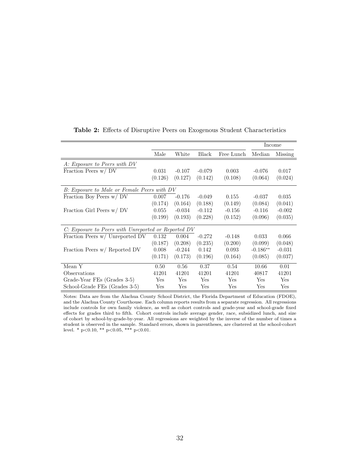|                                                     |         |          |              |            |            | Income   |
|-----------------------------------------------------|---------|----------|--------------|------------|------------|----------|
|                                                     | Male    | White    | <b>Black</b> | Free Lunch | Median     | Missing  |
| A: Exposure to Peers with DV                        |         |          |              |            |            |          |
| Fraction Peers w/ DV                                | 0.031   | $-0.107$ | $-0.079$     | 0.003      | $-0.076$   | 0.017    |
|                                                     | (0.126) | (0.127)  | (0.142)      | (0.108)    | (0.064)    | (0.024)  |
| B: Exposure to Male or Female Peers with DV         |         |          |              |            |            |          |
| Fraction Boy Peers w/ DV                            | 0.007   | $-0.176$ | $-0.049$     | 0.155      | $-0.037$   | 0.035    |
|                                                     | (0.174) | (0.164)  | (0.188)      | (0.149)    | (0.084)    | (0.041)  |
| Fraction Girl Peers w/ DV                           | 0.055   | $-0.034$ | $-0.112$     | $-0.156$   | $-0.116$   | $-0.002$ |
|                                                     | (0.199) | (0.193)  | (0.228)      | (0.152)    | (0.096)    | (0.035)  |
| C: Exposure to Peers with Unreported or Reported DV |         |          |              |            |            |          |
| Fraction Peers w/ Unreported DV                     | 0.132   | 0.004    | $-0.272$     | $-0.148$   | 0.033      | 0.066    |
|                                                     | (0.187) | (0.208)  | (0.235)      | (0.200)    | (0.099)    | (0.048)  |
| Fraction Peers w/ Reported DV                       | 0.008   | $-0.244$ | 0.142        | 0.093      | $-0.186**$ | $-0.031$ |
|                                                     | (0.171) | (0.173)  | (0.196)      | (0.164)    | (0.085)    | (0.037)  |
| Mean Y                                              | 0.50    | 0.56     | 0.37         | 0.54       | 10.66      | 0.01     |
| Observations                                        | 41201   | 41201    | 41201        | 41201      | 40817      | 41201    |
| Grade-Year FEs (Grades 3-5)                         | Yes     | Yes      | Yes          | Yes        | Yes        | Yes      |
| School-Grade FEs (Grades 3-5)                       | Yes     | Yes      | Yes          | Yes        | Yes        | Yes      |

Table 2: Effects of Disruptive Peers on Exogenous Student Characteristics

Notes: Data are from the Alachua County School District, the Florida Department of Education (FDOE), and the Alachua County Courthouse. Each column reports results from a separate regression. All regressions include controls for own family violence, as well as cohort controls and grade-year and school-grade fixed effects for grades third to fifth. Cohort controls include average gender, race, subsidized lunch, and size of cohort by school-by-grade-by-year. All regressions are weighted by the inverse of the number of times a student is observed in the sample. Standard errors, shown in parentheses, are clustered at the school-cohort level. \* p<0.10, \*\* p<0.05, \*\*\* p<0.01.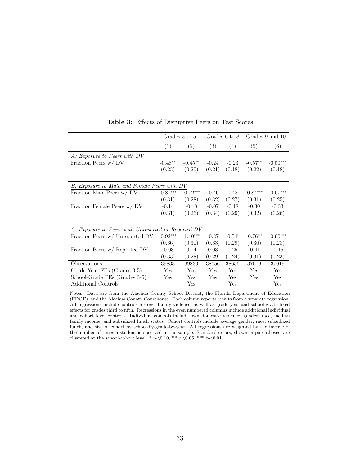|                                                     |            | Grades 3 to 5 |         | Grades 6 to 8 |            | Grades 9 and 10 |
|-----------------------------------------------------|------------|---------------|---------|---------------|------------|-----------------|
|                                                     | (1)        | (2)           | (3)     | (4)           | (5)        | (6)             |
| A: Exposure to Peers with DV                        |            |               |         |               |            |                 |
| Fraction Peers w/DV                                 | $-0.48**$  | $-0.45**$     | $-0.24$ | $-0.23$       | $-0.57**$  | $-0.50***$      |
|                                                     | (0.23)     | (0.20)        | (0.21)  | (0.18)        | (0.22)     | (0.18)          |
| B: Exposure to Male and Female Peers with DV        |            |               |         |               |            |                 |
| Fraction Male Peers w/ DV                           | $-0.81***$ | $-0.72***$    | $-0.40$ | $-0.28$       | $-0.84***$ | $-0.67***$      |
|                                                     | (0.31)     | (0.28)        | (0.32)  | (0.27)        | (0.31)     | (0.25)          |
| Fraction Female Peers w/ DV                         | $-0.14$    | $-0.18$       | $-0.07$ | $-0.18$       | $-0.30$    | $-0.33$         |
|                                                     | (0.31)     | (0.26)        | (0.34)  | (0.29)        | (0.32)     | (0.26)          |
| C: Exposure to Peers with Unreported or Reported DV |            |               |         |               |            |                 |
| Fraction Peers w/ Unreported DV                     | $-0.93***$ | $-1.10***$    | $-0.37$ | $-0.54*$      | $-0.76**$  | $-0.90***$      |
|                                                     | (0.36)     | (0.30)        | (0.33)  | (0.29)        | (0.36)     | (0.28)          |
| Fraction Peers w/ Reported DV                       | $-0.03$    | 0.14          | 0.03    | 0.25          | $-0.41$    | $-0.15$         |
|                                                     | (0.33)     | (0.28)        | (0.29)  | (0.24)        | (0.31)     | (0.23)          |
| Observations                                        | 39833      | 39833         | 38656   | 38656         | 37019      | 37019           |
| Grade-Year FEs (Grades 3-5)                         | Yes        | Yes           | Yes     | Yes           | Yes        | Yes             |
| School-Grade FEs (Grades 3-5)                       | Yes        | Yes           | Yes     | Yes           | Yes        | Yes             |
| <b>Additional Controls</b>                          |            | Yes           |         | Yes           |            | Yes             |

Table 3: Effects of Disruptive Peers on Test Scores

Notes: Data are from the Alachua County School District, the Florida Department of Education (FDOE), and the Alachua County Courthouse. Each column reports results from a separate regression. All regressions include controls for own family violence, as well as grade-year and school-grade fixed effects for grades third to fifth. Regressions in the even numbered columns include additional individual and cohort level controls. Individual controls include own domestic violence, gender, race, median family income, and subsidized lunch status. Cohort controls include average gender, race, subsidized lunch, and size of cohort by school-by-grade-by-year. All regressions are weighted by the inverse of the number of times a student is observed in the sample. Standard errors, shown in parentheses, are clustered at the school-cohort level. \*  $p<0.10$ , \*\*  $p<0.05$ , \*\*\*  $p<0.01$ .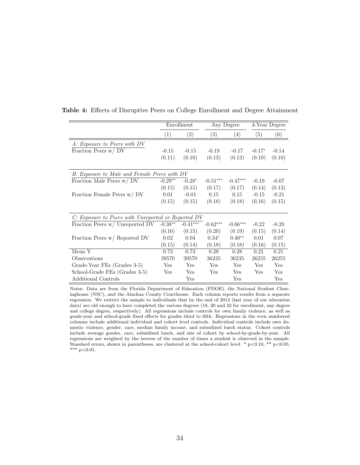|                                                     |           | Enrollment |            | Any Degree |          | 4-Year Degree |
|-----------------------------------------------------|-----------|------------|------------|------------|----------|---------------|
|                                                     | (1)       | (2)        | (3)        | (4)        | (5)      | (6)           |
| A: Exposure to Peers with DV                        |           |            |            |            |          |               |
| Fraction Peers w/DV                                 | $-0.15$   | $-0.15$    | $-0.19$    | $-0.17$    | $-0.17*$ | $-0.14$       |
|                                                     | (0.11)    | (0.10)     | (0.13)     | (0.13)     | (0.10)   | (0.10)        |
|                                                     |           |            |            |            |          |               |
| B: Exposure to Male and Female Peers with DV        |           |            |            |            |          |               |
| Fraction Male Peers w/ DV                           | $-0.29**$ | $-0.28*$   | $-0.51***$ | $-0.47***$ | $-0.19$  | $-0.07$       |
|                                                     | (0.15)    | (0.15)     | (0.17)     | (0.17)     | (0.14)   | (0.13)        |
| Fraction Female Peers w/ DV                         | 0.01      | $-0.01$    | 0.15       | 0.15       | $-0.15$  | $-0.21$       |
|                                                     | (0.15)    | (0.15)     | (0.18)     | (0.18)     | (0.16)   | (0.15)        |
|                                                     |           |            |            |            |          |               |
| C: Exposure to Peers with Unreported or Reported DV |           |            |            |            |          |               |
| Fraction Peers w/ Unreported DV                     | $-0.38**$ | $-0.41***$ | $-0.62***$ | $-0.66***$ | $-0.22$  | $-0.20$       |
|                                                     | (0.16)    | (0.15)     | (0.20)     | (0.19)     | (0.15)   | (0.14)        |
| Fraction Peers w/ Reported DV                       | 0.02      | 0.04       | $0.34*$    | $0.40**$   | 0.01     | 0.07          |
|                                                     | (0.15)    | (0.14)     | (0.18)     | (0.18)     | (0.16)   | (0.15)        |
| Mean Y                                              | 0.73      | 0.73       | 0.28       | 0.28       | 0.21     | 0.21          |
| Observations                                        | 39570     | 39570      | 36235      | 36235      | 26255    | 26255         |
| Grade-Year FEs (Grades 3-5)                         | Yes       | Yes        | Yes        | <b>Yes</b> | Yes      | Yes           |
| School-Grade FEs (Grades 3-5)                       | Yes       | Yes        | Yes        | <b>Yes</b> | Yes      | Yes           |
| <b>Additional Controls</b>                          |           | Yes        |            | Yes        |          | Yes           |

Table 4: Effects of Disruptive Peers on College Enrollment and Degree Attainment

Notes: Data are from the Florida Department of Education (FDOE), the National Student Clearinghouse (NSC), and the Alachua County Courthouse. Each column reports results from a separate regression. We restrict the sample to individuals that by the end of 2012 (last year of our education data) are old enough to have completed the various degrees (18, 20 and 22 for enrollment, any degree and college degree, respectively). All regressions include controls for own family violence, as well as grade-year and school-grade fixed effects for grades third to fifth. Regressions in the even numbered columns include additional individual and cohort level controls. Individual controls include own domestic violence, gender, race, median family income, and subsidized lunch status. Cohort controls include average gender, race, subsidized lunch, and size of cohort by school-by-grade-by-year. All regressions are weighted by the inverse of the number of times a student is observed in the sample. Standard errors, shown in parentheses, are clustered at the school-cohort level. \*  $p<0.10$ , \*\*  $p<0.05$ , \*\*\*  $p<0.01$ .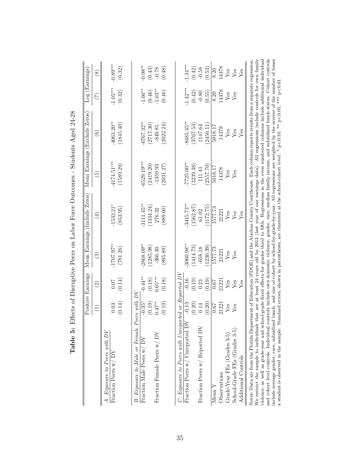|                                                         |                    | Positive Earnings        |              | Mean Earnings (Include Zeros) |                          | Mean Earnings (Exclude Zeros) | Log(Earnings) |                           |
|---------------------------------------------------------|--------------------|--------------------------|--------------|-------------------------------|--------------------------|-------------------------------|---------------|---------------------------|
|                                                         | Ξ                  | $\widehat{\mathfrak{O}}$ | ව            | $(\pm)$                       | $\widetilde{\mathbb{P}}$ | $\widehat{\circ}$             | E             | $\overset{\infty}{\circ}$ |
| $A$ : Exposure to Peers with $DV$                       |                    |                          |              |                               |                          |                               |               |                           |
| Fraction Peers w/DV                                     | 0.03               | 0.07                     | $-1707.97**$ | $-1533.21*$                   | $-4174.51***$            | $-4063.20***$                 | $-1.05***$    | $-0.89***$                |
|                                                         | (0.14)             | (0.14)                   | (781.26)     | (853.95)                      | (1589.29                 | (1845.40)                     | (0.32)        | (0.32)                    |
| B: Exposure to Male or Female P                         | $S$ eers with $DV$ |                          |              |                               |                          |                               |               |                           |
| Fraction Male Peers w/ DV                               | $-0.35*$           | $-0.44**$                | $2868.09***$ | $-3111.45**$                  | $-6529.19***$            | $-6767.32***$                 | $-1.06**$     | $\text{-}0.98^{\ast\ast}$ |
|                                                         | (0.19)             | (0.18)                   | (1285.98)    | (1334.24)                     | (2419.20)                | (2717.30)                     | (0.46)        | (0.43)                    |
| Fraction Female Peers w/ DV                             | $0.47**$           | $0.65***$                | $-366.30$    | 276.32                        | $-1359.93$               | $-849.85$                     | $-1.03**$     | $-0.78$                   |
|                                                         | (0.19)             | (0.18)                   | (895.89)     | (889.60)                      | (2031.27                 | (2022.24)                     | (0.46)        | (0.48)                    |
|                                                         |                    |                          |              |                               |                          |                               |               |                           |
| $C:$ Exposure to Peers with Unreported or Reported $DV$ |                    |                          |              |                               |                          |                               |               |                           |
| Fraction Peers w/ Unreported DV                         | $-0.13$            | $-0.16$                  | $3060.98**$  | $3415.73**$                   | $-7725.00***$            | 8485.45**                     | $-1.42***$    | $1.34***$                 |
|                                                         | (0.20)             | (0.19)                   | (1414.73)    | (1562.87)                     | (3239.38)                | (3767.53)                     | (0.42)        | (0.42)                    |
| Fraction Peers w/ Reported DV                           | 0.14               | 0.23                     | 658.18       | 61.02                         | 111.41                   | 147.64                        | $-0.80$       | 0.58                      |
|                                                         | (0.20)             | (0.19)                   | (1230.39)    | 1172.75                       | 2557.70                  | 2450.11                       | (0.55)        | (6.53)                    |
| Mean Y                                                  | 0.07               | 79.0                     | 1577.73      | 1577.73                       | 5018.17                  | 5018.17                       | 8.20          | 8.20                      |
| Observations                                            | 21221              | 21221                    | 21221        | 21221                         | 14378                    | 14378                         | 14378         | 14378                     |
| Grade-Year FEs (Grades 3-5)                             | Yes                | Ýes                      | Yes          | $Y$ es                        | Yes                      | $Y$ es                        | Yes           | $Y$ es                    |
| School-Grade FEs (Grades 3-5)                           | Yes                | Yes                      | $Y$ es       | Yes                           | Yes                      | Yes                           | Yes           | Yes                       |
| Additional Controls                                     |                    | $_{\rm Yes}$             |              | $_{\rm Yes}$                  |                          | $_{\rm Yes}$                  |               | Yes                       |

| $\overline{a}$<br>ı                                    |
|--------------------------------------------------------|
| I<br>֕<br>J<br>ׇ֚֓֡<br>l                               |
| I<br>ł<br>j                                            |
| ı                                                      |
| į<br>)<br> <br> <br>$\overline{\phantom{a}}$           |
| ו<br>ו<br>ļ<br>֧֖֖֚֚֚֚֬֝֬                              |
| $\frac{3}{1}$<br>l                                     |
|                                                        |
| J<br>$\overline{\phantom{a}}$                          |
| l<br>l                                                 |
| $\overline{\mathbf{r}}$                                |
|                                                        |
| $\frac{1}{1}$<br>$\begin{array}{c} 8 \\ 1 \end{array}$ |
|                                                        |
| )<br>2<br>$\overline{\phantom{a}}$<br>l<br>j<br>l      |

violence, as well as grade-year and school-grade fixed effects for grades third to fifth. Regressions in the even numbered columns include additional individual<br>and cohort level controls. Individual controls include own d violence, as well as grade-year and school-grade fixed effects for grades third to fifth. Regressions in the even numbered columns include additional individual and cohort level controls. Individual controls include own domestic violence, gender, race, median family income, and subsidized lunch status. Cohort controls include average gender, race, subsidized lunch, and size of cohort by school-by-grade-by-year. All regressions are weighted by the inverse of the number of times a student is observed in the sample. Standard errors, shown in parentheses, are clustered at the school-cohort level. \* p<0.10, \*\* p<0.05, \*\*\* p<0.01.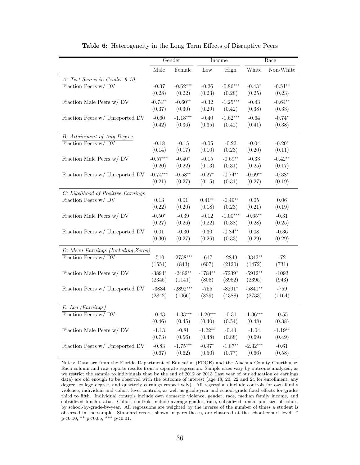|                                    | Gender         |            |            | Income     |            | Race      |
|------------------------------------|----------------|------------|------------|------------|------------|-----------|
|                                    | $\rm Male$     | Female     | Low        | High       | White      | Non-White |
| A: Test Scores in Grades 9-10      |                |            |            |            |            |           |
| Fraction Peers w/ DV               | $-0.37$        | $-0.62***$ | $-0.26$    | $-0.86***$ | $-0.43*$   | $-0.51**$ |
|                                    | (0.28)         | (0.22)     | (0.23)     | (0.28)     | (0.25)     | (0.23)    |
| Fraction Male Peers w/ DV          | $-0.74**$      | $-0.60**$  | $-0.32$    | $-1.25***$ | $-0.43$    | $-0.64**$ |
|                                    | (0.37)         | (0.30)     | (0.29)     | (0.42)     | (0.38)     | (0.33)    |
| Fraction Peers w/ Unreported DV    | $-0.60$        | $-1.18***$ | $-0.40$    | $-1.62***$ | $-0.64$    | $-0.74*$  |
|                                    | (0.42)         | (0.36)     | (0.35)     | (0.42)     | (0.41)     | (0.38)    |
| <b>B:</b> Attainment of Any Degree |                |            |            |            |            |           |
| Fraction Peers w/ DV               | $-0.18$        | $-0.15$    | $-0.05$    | $-0.23$    | $-0.04$    | $-0.20*$  |
|                                    | (0.14)         | (0.17)     | (0.10)     | (0.23)     | (0.20)     | (0.11)    |
| Fraction Male Peers w/ DV          | $-0.57***$     | $-0.40*$   | $-0.15$    | $-0.69**$  | $-0.33$    | $-0.42**$ |
|                                    | (0.20)         | (0.22)     | (0.13)     | (0.31)     | (0.25)     | (0.17)    |
| Fraction Peers w/ Unreported DV    | $-0.74***$     | $-0.58**$  | $-0.27*$   | $-0.74**$  | $-0.69**$  | $-0.38*$  |
|                                    | (0.21)         | (0.27)     | (0.15)     | (0.31)     | (0.27)     | (0.19)    |
| C: Likelihood of Positive Earnings |                |            |            |            |            |           |
| Fraction Peers w/DV                | 0.13           | 0.01       | $0.41**$   | $-0.49**$  | $0.05\,$   | 0.06      |
|                                    | (0.22)         | (0.20)     | (0.18)     | (0.23)     | (0.21)     | (0.19)    |
| Fraction Male Peers w/ DV          | $-0.50*$       | $-0.39$    | $-0.12$    | $-1.00***$ | $-0.65**$  | $-0.31$   |
|                                    | (0.27)         | (0.26)     | (0.22)     | (0.38)     | (0.28)     | (0.25)    |
| Fraction Peers w/ Unreported DV    | 0.01           | $-0.30$    | 0.30       | $-0.84**$  | 0.08       | $-0.36$   |
|                                    | (0.30)         | (0.27)     | (0.26)     | (0.33)     | (0.29)     | (0.29)    |
| D: Mean Earnings (Including Zeros) |                |            |            |            |            |           |
| Fraction Peers w/DV                | $-510$         | $-2738***$ | $-617$     | $-2849$    | $-3343**$  | $-72$     |
|                                    | (1554)         | (843)      | (607)      | (2120)     | (1472)     | (731)     |
| Fraction Male Peers w/ DV          | $-3894*$       | $-2482**$  | $-1784**$  | $-7239*$   | $-5912**$  | $-1093$   |
|                                    | (2345)         | (1141)     | (806)      | (3962)     | (2395)     | (943)     |
| Fraction Peers w/ Unreported DV    | $\mbox{-}3834$ | $-2892***$ | $-755$     | $-8291*$   | $-5841**$  | $-759$    |
|                                    | (2842)         | (1066)     | (829)      | (4388)     | (2733)     | (1164)    |
| E: Log (Earnings)                  |                |            |            |            |            |           |
| Fraction Peers w/ DV               | $-0.43$        | $-1.33***$ | $-1.20***$ | $-0.31$    | $-1.36***$ | $-0.55$   |
|                                    | (0.46)         | (0.45)     | (0.40)     | (0.54)     | (0.48)     | (0.38)    |
| Fraction Male Peers w/ DV          | $-1.13$        | $-0.81$    | $-1.22**$  | $-0.44$    | $-1.04$    | $-1.19**$ |
|                                    | (0.73)         | (0.56)     | (0.48)     | (0.88)     | (0.69)     | (0.49)    |
| Fraction Peers w/ Unreported DV    | $-0.83$        | $-1.75***$ | $-0.97*$   | $-1.87**$  | $-2.32***$ | $-0.61$   |
|                                    | (0.67)         | (0.62)     | (0.50)     | (0.77)     | (0.66)     | (0.58)    |

Table 6: Heterogeneity in the Long Term Effects of Disruptive Peers

Notes: Data are from the Florida Department of Education (FDOE) and the Alachua County Courthouse. Each column and raw reports results from a separate regression. Sample sizes vary by outcome analyzed, as we restrict the sample to individuals that by the end of 2012 or 2013 (last year of our education or earnings data) are old enough to be observed with the outcome of interest (age 18, 20, 22 and 24 for enrollment, any degree, college degree, and quarterly earnings respectively). All regressions include controls for own family violence, individual and cohort level controls, as well as grade-year and school-grade fixed effects for grades third to fifth. Individual controls include own domestic violence, gender, race, median family income, and subsidized lunch status. Cohort controls include average gender, race, subsidized lunch, and size of cohort by school-by-grade-by-year. All regressions are weighted by the inverse of the number of times a student is observed in the sample. Standard errors, shown in parentheses, are clustered at the school-cohort level. \* p<0.10, \*\* p<0.05, \*\*\* p<0.01.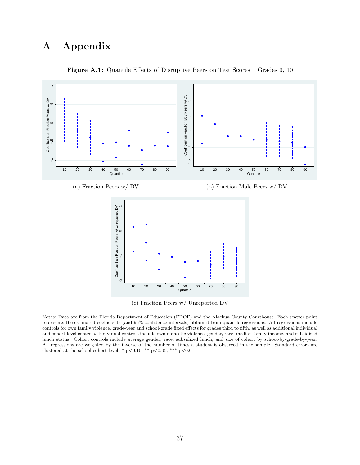# A Appendix



Figure A.1: Quantile Effects of Disruptive Peers on Test Scores – Grades 9, 10

Notes: Data are from the Florida Department of Education (FDOE) and the Alachua County Courthouse. Each scatter point represents the estimated coefficients (and 95% confidence intervals) obtained from quantile regressions. All regressions include controls for own family violence, grade-year and school-grade fixed effects for grades third to fifth, as well as additional individual and cohort level controls. Individual controls include own domestic violence, gender, race, median family income, and subsidized lunch status. Cohort controls include average gender, race, subsidized lunch, and size of cohort by school-by-grade-by-year. All regressions are weighted by the inverse of the number of times a student is observed in the sample. Standard errors are clustered at the school-cohort level. \*  $p<0.10$ , \*\*  $p<0.05$ , \*\*\*  $p<0.01$ .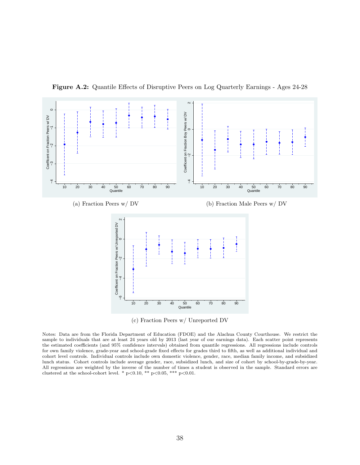

Figure A.2: Quantile Effects of Disruptive Peers on Log Quarterly Earnings - Ages 24-28

Notes: Data are from the Florida Department of Education (FDOE) and the Alachua County Courthouse. We restrict the sample to individuals that are at least 24 years old by 2013 (last year of our earnings data). Each scatter point represents the estimated coefficients (and 95% confidence intervals) obtained from quantile regressions. All regressions include controls for own family violence, grade-year and school-grade fixed effects for grades third to fifth, as well as additional individual and cohort level controls. Individual controls include own domestic violence, gender, race, median family income, and subsidized lunch status. Cohort controls include average gender, race, subsidized lunch, and size of cohort by school-by-grade-by-year. All regressions are weighted by the inverse of the number of times a student is observed in the sample. Standard errors are clustered at the school-cohort level. \*  $p<0.10$ , \*\*  $p<0.05$ , \*\*\*  $p<0.01$ .